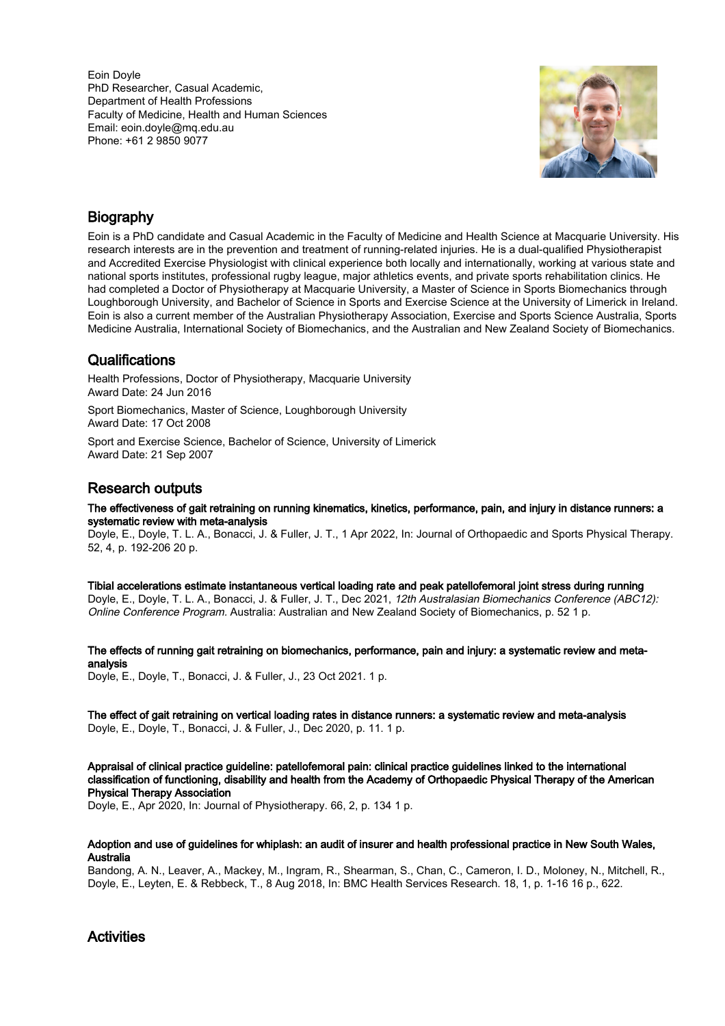Eoin Doyle PhD Researcher, Casual Academic, Department of Health Professions Faculty of Medicine, Health and Human Sciences Email: eoin.doyle@mq.edu.au Phone: +61 2 9850 9077



# Biography

Eoin is a PhD candidate and Casual Academic in the Faculty of Medicine and Health Science at Macquarie University. His research interests are in the prevention and treatment of running-related injuries. He is a dual-qualified Physiotherapist and Accredited Exercise Physiologist with clinical experience both locally and internationally, working at various state and national sports institutes, professional rugby league, major athletics events, and private sports rehabilitation clinics. He had completed a Doctor of Physiotherapy at Macquarie University, a Master of Science in Sports Biomechanics through Loughborough University, and Bachelor of Science in Sports and Exercise Science at the University of Limerick in Ireland. Eoin is also a current member of the Australian Physiotherapy Association, Exercise and Sports Science Australia, Sports Medicine Australia, International Society of Biomechanics, and the Australian and New Zealand Society of Biomechanics.

## **Qualifications**

Health Professions, Doctor of Physiotherapy, Macquarie University Award Date: 24 Jun 2016

Sport Biomechanics, Master of Science, Loughborough University Award Date: 17 Oct 2008

Sport and Exercise Science, Bachelor of Science, University of Limerick Award Date: 21 Sep 2007

# Research outputs

The effectiveness of gait retraining on running kinematics, kinetics, performance, pain, and injury in distance runners: a systematic review with meta-analysis

Doyle, E., Doyle, T. L. A., Bonacci, J. & Fuller, J. T., 1 Apr 2022, In: Journal of Orthopaedic and Sports Physical Therapy. 52, 4, p. 192-206 20 p.

Tibial accelerations estimate instantaneous vertical loading rate and peak patellofemoral joint stress during running

Doyle, E., Doyle, T. L. A., Bonacci, J. & Fuller, J. T., Dec 2021, 12th Australasian Biomechanics Conference (ABC12): Online Conference Program. Australia: Australian and New Zealand Society of Biomechanics, p. 52 1 p.

The effects of running gait retraining on biomechanics, performance, pain and injury: a systematic review and metaanalysis

Doyle, E., Doyle, T., Bonacci, J. & Fuller, J., 23 Oct 2021. 1 p.

The effect of gait retraining on vertical loading rates in distance runners: a systematic review and meta-analysis Doyle, E., Doyle, T., Bonacci, J. & Fuller, J., Dec 2020, p. 11. 1 p.

Appraisal of clinical practice guideline: patellofemoral pain: clinical practice guidelines linked to the international classification of functioning, disability and health from the Academy of Orthopaedic Physical Therapy of the American Physical Therapy Association

Doyle, E., Apr 2020, In: Journal of Physiotherapy. 66, 2, p. 134 1 p.

#### Adoption and use of guidelines for whiplash: an audit of insurer and health professional practice in New South Wales, Australia

Bandong, A. N., Leaver, A., Mackey, M., Ingram, R., Shearman, S., Chan, C., Cameron, I. D., Moloney, N., Mitchell, R., Doyle, E., Leyten, E. & Rebbeck, T., 8 Aug 2018, In: BMC Health Services Research. 18, 1, p. 1-16 16 p., 622.

### **Activities**